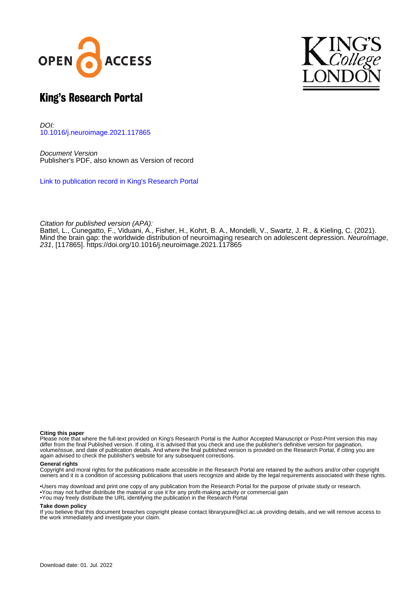



# King's Research Portal

DOI: [10.1016/j.neuroimage.2021.117865](https://doi.org/10.1016/j.neuroimage.2021.117865)

Document Version Publisher's PDF, also known as Version of record

[Link to publication record in King's Research Portal](https://kclpure.kcl.ac.uk/portal/en/publications/mind-the-brain-gap-the-worldwide-distribution-of-neuroimaging-research-on-adolescent-depression(04b0e80f-674e-420d-ad3f-adc1f939c943).html)

Citation for published version (APA):

Battel, L., Cunegatto, F., Viduani, A.[, Fisher, H.](https://kclpure.kcl.ac.uk/portal/en/persons/helen-fisher(6b5df51e-dd99-46e3-aa22-71d4d4ec5b35).html), Kohrt, B. A[., Mondelli, V.,](/portal/valeria.mondelli.html) Swartz, J. R., & Kieling, C. (2021). [Mind the brain gap: the worldwide distribution of neuroimaging research on adolescent depression.](https://kclpure.kcl.ac.uk/portal/en/publications/mind-the-brain-gap-the-worldwide-distribution-of-neuroimaging-research-on-adolescent-depression(04b0e80f-674e-420d-ad3f-adc1f939c943).html) [NeuroImage](https://kclpure.kcl.ac.uk/portal/en/journals/neuroimage(a1fa569c-f95f-4fb4-9d19-012dc4998c7e).html), 231, [117865]. <https://doi.org/10.1016/j.neuroimage.2021.117865>

#### **Citing this paper**

Please note that where the full-text provided on King's Research Portal is the Author Accepted Manuscript or Post-Print version this may differ from the final Published version. If citing, it is advised that you check and use the publisher's definitive version for pagination, volume/issue, and date of publication details. And where the final published version is provided on the Research Portal, if citing you are again advised to check the publisher's website for any subsequent corrections.

### **General rights**

Copyright and moral rights for the publications made accessible in the Research Portal are retained by the authors and/or other copyright owners and it is a condition of accessing publications that users recognize and abide by the legal requirements associated with these rights.

•Users may download and print one copy of any publication from the Research Portal for the purpose of private study or research. •You may not further distribute the material or use it for any profit-making activity or commercial gain •You may freely distribute the URL identifying the publication in the Research Portal

#### **Take down policy**

If you believe that this document breaches copyright please contact librarypure@kcl.ac.uk providing details, and we will remove access to the work immediately and investigate your claim.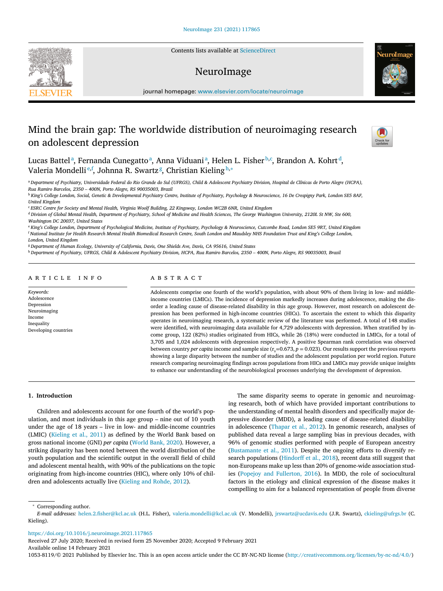Contents lists available at [ScienceDirect](http://www.ScienceDirect.com)

## NeuroImage



journal homepage: [www.elsevier.com/locate/neuroimage](http://www.elsevier.com/locate/neuroimage)

# Mind the brain gap: The worldwide distribution of neuroimaging research on adolescent depression



Lucas Battelª, Fernanda Cunegattoª, Anna Viduaniª, Helen L. Fisher<sup>b,c</sup>, Brandon A. Kohrt<sup>d</sup>, Valeria Mondelli<sup>e,f</sup>, Johnna R. Swartz<sup>g</sup>, Christian Kieling<sup>h,</sup>\*

<sup>a</sup> Department of Psychiatry, Universidade Federal do Rio Grande do Sul (UFRGS), Child & Adolescent Psychiatry Division, Hospital de Clínicas de Porto Alegre (HCPA), *Rua Ramiro Barcelos, 2350 – 400N, Porto Alegre, RS 90035003, Brazil*

<sup>b</sup> King's College London, Social, Genetic & Developmental Psychiatry Centre, Institute of Psychiatry, Psychology & Neuroscience, 16 De Crespigny Park, London SE5 8AF, *United Kingdom*

" ESRC Centre for Society and Mental Health, Virginia Woolf Building, 22 Kingsway, London WC2B 6NR, United Kingdom

<sup>d</sup> Division of Global Mental Health, Department of Psychiatry, School of Medicine and Health Sciences, The George Washington University, 2120L St NW, Ste 600, *Washington DC 20037, United States*

e King's College London, Department of Psychological Medicine, Institute of Psychiatry, Psychology & Neuroscience, Cutcombe Road, London SE5 9RT, United Kingdom <sup>f</sup> National Institute for Health Research Mental Health Biomedical Research Centre, South London and Maudsley NHS Foundation Trust and King's College London, *London, United Kingdom*

<sup>g</sup> *Department of Human Ecology, University of California, Davis, One Shields Ave, Davis, CA 95616, United States*

h Department of Psychiatry, UFRGS, Child & Adolescent Psychiatry Division, HCPA, Rua Ramiro Barcelos, 2350 - 400N, Porto Alegre, RS 90035003, Brazil

#### a r t i c l e i n f o

*Keywords:* Adolescence Depression Neuroimaging Income Inequality Developing countries

### a b s t r a c t

Adolescents comprise one fourth of the world's population, with about 90% of them living in low- and middleincome countries (LMICs). The incidence of depression markedly increases during adolescence, making the disorder a leading cause of disease-related disability in this age group. However, most research on adolescent depression has been performed in high-income countries (HICs). To ascertain the extent to which this disparity operates in neuroimaging research, a systematic review of the literature was performed. A total of 148 studies were identified, with neuroimaging data available for 4,729 adolescents with depression. When stratified by income group, 122 (82%) studies originated from HICs, while 26 (18%) were conducted in LMICs, for a total of 3,705 and 1,024 adolescents with depression respectively. A positive Spearman rank correlation was observed between country *per capita* income and sample size  $(r<sub>s</sub>=0.673, p = 0.023)$ . Our results support the previous reports showing a large disparity between the number of studies and the adolescent population per world region. Future research comparing neuroimaging findings across populations from HICs and LMICs may provide unique insights to enhance our understanding of the neurobiological processes underlying the development of depression.

#### **1. Introduction**

Children and adolescents account for one fourth of the world's population, and most individuals in this age group – nine out of 10 youth under the age of 18 years – live in low- and middle-income countries (LMIC) [\(Kieling](#page-5-0) et al., 2011) as defined by the World Bank based on gross national income (GNI) *per capita* [\(World](#page-6-0) Bank, 2020). However, a striking disparity has been noted between the world distribution of the youth population and the scientific output in the overall field of child and adolescent mental health, with 90% of the publications on the topic originating from high-income countries (HIC), where only 10% of children and adolescents actually live [\(Kieling](#page-5-0) and Rohde, 2012).

The same disparity seems to operate in genomic and neuroimaging research, both of which have provided important contributions to the understanding of mental health disorders and specifically major depressive disorder (MDD), a leading cause of disease-related disability in adolescence [\(Thapar](#page-5-0) et al., 2012). In genomic research, analyses of published data reveal a large sampling bias in previous decades, with 96% of genomic studies performed with people of European ancestry [\(Bustamante](#page-5-0) et al., 2011). Despite the ongoing efforts to diversify research populations [\(Hindorff et](#page-5-0) al., 2018), recent data still suggest that non-Europeans make up less than 20% of genome-wide association studies (Popejoy and [Fullerton,](#page-5-0) 2016). In MDD, the role of sociocultural factors in the etiology and clinical expression of the disease makes it compelling to aim for a balanced representation of people from diverse

<sup>∗</sup> Corresponding author.

*E-mail addresses:* [helen.2.fisher@kcl.ac.uk](mailto:helen.2.fisher@kcl.ac.uk) (H.L. Fisher), [valeria.mondelli@kcl.ac.uk](mailto:valeria.mondelli@kcl.ac.uk) (V. Mondelli), [jrswartz@ucdavis.edu](mailto:jrswartz@ucdavis.edu) (J.R. Swartz), [ckieling@ufrgs.br](mailto:ckieling@ufrgs.br) (C. Kieling).

<https://doi.org/10.1016/j.neuroimage.2021.117865>

Received 27 July 2020; Received in revised form 25 November 2020; Accepted 9 February 2021 Available online 14 February 2021

1053-8119/© 2021 Published by Elsevier Inc. This is an open access article under the CC BY-NC-ND license [\(http://creativecommons.org/licenses/by-nc-nd/4.0/\)](http://creativecommons.org/licenses/by-nc-nd/4.0/)

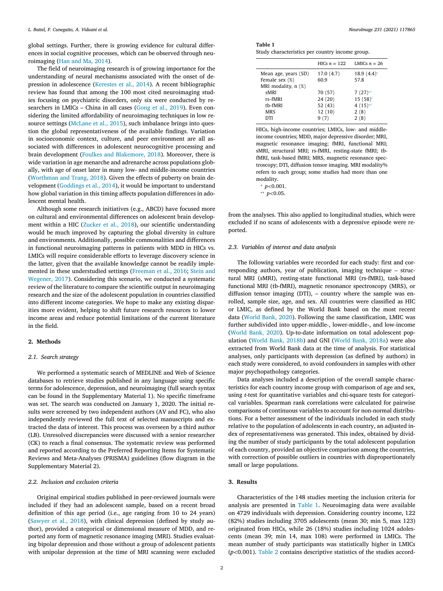<span id="page-2-0"></span>global settings. Further, there is growing evidence for cultural differences in social cognitive processes, which can be observed through neuroimaging (Han and Ma, [2014\)](#page-5-0).

The field of neuroimaging research is of growing importance for the understanding of neural mechanisms associated with the onset of depression in adolescence [\(Kerestes](#page-5-0) et al., 2014). A recent bibliographic review has found that among the 100 most cited neuroimaging studies focusing on psychiatric disorders, only six were conducted by re-searchers in LMICs - China in all cases [\(Gong](#page-5-0) et al., 2019). Even considering the limited affordability of neuroimaging techniques in low resource settings [\(McLane](#page-5-0) et al., 2015), such imbalance brings into question the global representativeness of the available findings. Variation in socioeconomic context, culture, and peer environment are all associated with differences in adolescent neurocognitive processing and brain development (Foulkes and [Blakemore,](#page-5-0) 2018). Moreover, there is wide variation in age menarche and adrenarche across populations globally, with age of onset later in many low- and middle-income countries [\(Worthman](#page-6-0) and Trang, 2018). Given the effects of puberty on brain development [\(Goddings](#page-5-0) et al., 2014), it would be important to understand how global variation in this timing affects population differences in adolescent mental health.

Although some research initiatives (e.g., ABCD) have focused more on cultural and environmental differences on adolescent brain development within a HIC [\(Zucker](#page-6-0) et al., 2018), our scientific understanding would be much improved by capturing the global diversity in culture and environments. Additionally, possible commonalities and differences in functional neuroimaging patterns in patients with MDD in HICs vs. LMICs will require considerable efforts to leverage discovery science in the latter, given that the available knowledge cannot be readily implemented in these [understudied](#page-5-0) settings [\(Freeman](#page-5-0) et al., 2016; Stein and Wegener, 2017). Considering this scenario, we conducted a systematic review of the literature to compare the scientific output in neuroimaging research and the size of the adolescent population in countries classified into different income categories. We hope to make any existing disparities more evident, helping to shift future research resources to lower income areas and reduce potential limitations of the current literature in the field.

#### **2. Methods**

#### *2.1. Search strategy*

We performed a systematic search of MEDLINE and Web of Science databases to retrieve studies published in any language using specific terms for adolescence, depression, and neuroimaging (full search syntax can be found in the Supplementary Material 1). No specific timeframe was set. The search was conducted on January 1, 2020. The initial results were screened by two independent authors (AV and FC), who also independently reviewed the full text of selected manuscripts and extracted the data of interest. This process was overseen by a third author (LB). Unresolved discrepancies were discussed with a senior researcher (CK) to reach a final consensus. The systematic review was performed and reported according to the Preferred Reporting Items for Systematic Reviews and Meta-Analyses (PRISMA) guidelines (flow diagram in the Supplementary Material 2).

#### *2.2. Inclusion and exclusion criteria*

Original empirical studies published in peer-reviewed journals were included if they had an adolescent sample, based on a recent broad definition of this age period (i.e., age ranging from 10 to 24 years) [\(Sawyer](#page-5-0) et al., 2018), with clinical depression (defined by study author), provided a categorical or dimensional measure of MDD, and reported any form of magnetic resonance imaging (MRI). Studies evaluating bipolar depression and those without a group of adolescent patients with unipolar depression at the time of MRI scanning were excluded

| <b>Table 1</b> |  |  |  |  |
|----------------|--|--|--|--|
| $\sim$         |  |  |  |  |

Study characteristics per country income group.

|                          | HICs $n = 122$ | LMICs $n = 26$ |
|--------------------------|----------------|----------------|
| Mean age, years (SD)     | 17.0(4.7)      | $18.9(4.4)$ *  |
| Female sex (%)           | 60.9           | 57.8           |
| MRI modality, $n$ $(\%)$ |                |                |
| sMRI                     | 70 (57)        | $7(27)$ **     |
| $rs$ -fMRI               | 24 (20)        | $15(58)$ *     |
| tb-fMRI                  | 52 (43)        | $4(15)$ **     |
| <b>MRS</b>               | 12(10)         | 2(8)           |
| DTI                      |                | 2(8)           |

HICs, high-income countries; LMICs, low- and middleincome countries; MDD, major depressive disorder; MRI, magnetic resonance imaging; fMRI, functional MRI; sMRI, structural MRI; rs-fMRI, resting-state fMRI; tbfMRI, task-based fMRI; MRS, magnetic resonance spectroscopy; DTI, diffusion tensor imaging. MRI modality% refers to each group; some studies had more than one modality. <sup>∗</sup> *p<*0.001.

∗∗ *p<*0.05.

from the analyses. This also applied to longitudinal studies, which were excluded if no scans of adolescents with a depressive episode were reported.

#### *2.3. Variables of interest and data analysis*

The following variables were recorded for each study: first and corresponding authors, year of publication, imaging technique – structural MRI (sMRI), resting-state functional MRI (rs-fMRI), task-based functional MRI (tb-fMRI), magnetic resonance spectroscopy (MRS), or diffusion tensor imaging (DTI), – country where the sample was enrolled, sample size, age, and sex. All countries were classified as HIC or LMIC, as defined by the World Bank based on the most recent data [\(World](#page-6-0) Bank, 2020). Following the same classification, LMIC was further subdivided into upper-middle-, lower-middle-, and low-income [\(World](#page-6-0) Bank, 2020). Up-to-date information on total adolescent population (World Bank, [2018b\)](#page-6-0) and GNI (World Bank, [2018a\)](#page-5-0) were also extracted from World Bank data at the time of analysis. For statistical analyses, only participants with depression (as defined by authors) in each study were considered, to avoid confounders in samples with other major psychopathology categories.

Data analyses included a description of the overall sample characteristics for each country income group with comparison of age and sex, using *t*-test for quantitative variables and chi-square tests for categorical variables. Spearman rank correlations were calculated for pairwise comparisons of continuous variables to account for non-normal distributions. For a better assessment of the individuals included in each study relative to the population of adolescents in each country, an adjusted index of representativeness was generated. This index, obtained by dividing the number of study participants by the total adolescent population of each country, provided an objective comparison among the countries, with correction of possible outliers in countries with disproportionately small or large populations.

#### **3. Results**

Characteristics of the 148 studies meeting the inclusion criteria for analysis are presented in Table 1. Neuroimaging data were available on 4729 individuals with depression. Considering country income, 122 (82%) studies including 3705 adolescents (mean 30; min 5, max 123) originated from HICs, while 26 (18%) studies including 1024 adolescents (mean 39; min 14, max 108) were performed in LMICs. The mean number of study participants was statistically higher in LMICs (*p<*0.001). [Table](#page-3-0) 2 contains descriptive statistics of the studies accord-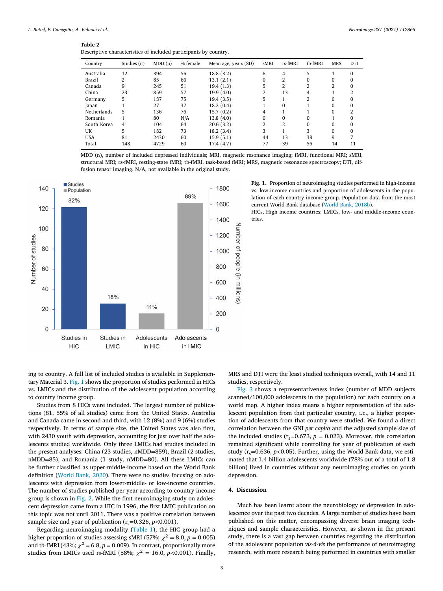#### <span id="page-3-0"></span>**Table 2**

| Descriptive characteristics of included participants by country. |  |  |
|------------------------------------------------------------------|--|--|
|                                                                  |  |  |

| Country            | Studies (n) | MDD(n) | % female | Mean age, years (SD) | sMRI     | rs-fMRI  | tb-fMRI        | <b>MRS</b> | <b>DTI</b> |
|--------------------|-------------|--------|----------|----------------------|----------|----------|----------------|------------|------------|
| Australia          | 12          | 394    | 56       | 18.8(3.2)            | 6        | 4        | 5              |            | 0          |
| Brazil             | 2           | 85     | 66       | 13.1(2.1)            | $\Omega$ | 2        | 0              | o          | O          |
| Canada             | 9           | 245    | 51       | 19.4(1.3)            | 5        | 2        | $\overline{2}$ | ำ          | 0          |
| China              | 23          | 859    | 57       | 19.9(4.0)            |          | 13       | 4              |            | ำ          |
| Germany            | 5           | 187    | 75       | 19.4(3.5)            | 5        |          | 2              | U          | O          |
| Japan              |             | 27     | 37       | 18.2(0.4)            |          | $\Omega$ |                | U          | 0          |
| <b>Netherlands</b> | 5           | 136    | 76       | 15.7(0.2)            | 4        |          |                | U          | 2          |
| Romania            |             | 80     | N/A      | 13.8(4.0)            | $\Omega$ | 0        | 0              |            | 0          |
| South Korea        | 4           | 104    | 64       | 20.6(3.2)            | 2        | 2        | $\Omega$       | o          | O          |
| UK                 | 5           | 182    | 73       | 18.2(3.4)            | 3        |          | 3              | U          | $\Omega$   |
| <b>USA</b>         | 81          | 2430   | 60       | 15.9(5.1)            | 44       | 13       | 38             | 9          |            |
| Total              | 148         | 4729   | 60       | 17.4(4.7)            | 77       | 39       | 56             | 14         | 11         |

MDD (n), number of included depressed individuals; MRI, magnetic resonance imaging; fMRI, functional MRI; sMRI, structural MRI; rs-fMRI, resting-state fMRI; tb-fMRI, task-based fMRI; MRS, magnetic resonance spectroscopy; DTI, diffusion tensor imaging. N/A, not available in the original study.



ing to country. A full list of included studies is available in Supplementary Material 3. Fig. 1 shows the proportion of studies performed in HICs vs. LMICs and the distribution of the adolescent population according to country income group.

Studies from 8 HICs were included. The largest number of publications (81, 55% of all studies) came from the United States. Australia and Canada came in second and third, with 12 (8%) and 9 (6%) studies respectively. In terms of sample size, the United States was also first, with 2430 youth with depression, accounting for just over half the adolescents studied worldwide. Only three LMICs had studies included in the present analyses: China (23 studies, nMDD=859), Brazil (2 studies, nMDD=85), and Romania (1 study, nMDD=80). All these LMICs can be further classified as upper-middle-income based on the World Bank definition [\(World](#page-6-0) Bank, 2020). There were no studies focusing on adolescents with depression from lower-middle- or low-income countries. The number of studies published per year according to country income group is shown in [Fig.](#page-4-0) 2. While the first neuroimaging study on adolescent depression came from a HIC in 1996, the first LMIC publication on this topic was not until 2011. There was a positive correlation between sample size and year of publication  $(r<sub>s</sub>=0.326, p<0.001)$ .

Regarding neuroimaging modality [\(Table](#page-2-0) 1), the HIC group had a higher proportion of studies assessing sMRI (57%;  $\chi^2 = 8.0$ ,  $p = 0.005$ ) and tb-fMRI (43%;  $\chi^2$  = 6.8, *p* = 0.009). In contrast, proportionally more studies from LMICs used rs-fMRI (58%;  $\chi^2 = 16.0$ ,  $p < 0.001$ ). Finally,

**Fig. 1.** Proportion of neuroimaging studies performed in high-income vs. low-income countries and proportion of adolescents in the population of each country income group. Population data from the most current World Bank database [\(World](#page-6-0) Bank, 2018b).

HICs, High income countries; LMICs, low- and middle-income countries.

MRS and DTI were the least studied techniques overall, with 14 and 11 studies, respectively.

[Fig.](#page-4-0) 3 shows a representativeness index (number of MDD subjects scanned/100,000 adolescents in the population) for each country on a world map. A higher index means a higher representation of the adolescent population from that particular country, i.e., a higher proportion of adolescents from that country were studied. We found a direct correlation between the GNI *per capita* and the adjusted sample size of the included studies ( $r_s$ =0.673,  $p$  = 0.023). Moreover, this correlation remained significant while controlling for year of publication of each study ( $r_s$ =0.636,  $p$ <0.05). Further, using the World Bank data, we estimated that 1.4 billion adolescents worldwide (78% out of a total of 1.8 billion) lived in countries without any neuroimaging studies on youth depression.

#### **4. Discussion**

Much has been learnt about the neurobiology of depression in adolescence over the past two decades. A large number of studies have been published on this matter, encompassing diverse brain imaging techniques and sample characteristics. However, as shown in the present study, there is a vast gap between countries regarding the distribution of the adolescent population *vis-à-vis* the performance of neuroimaging research, with more research being performed in countries with smaller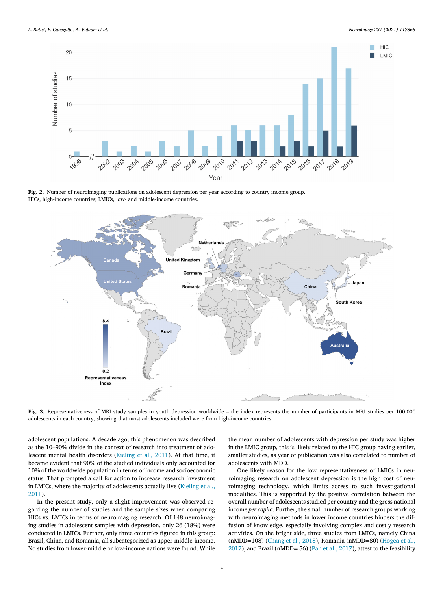<span id="page-4-0"></span>

**Fig. 2.** Number of neuroimaging publications on adolescent depression per year according to country income group. HICs, high-income countries; LMICs, low- and middle-income countries.



**Fig. 3.** Representativeness of MRI study samples in youth depression worldwide – the index represents the number of participants in MRI studies per 100,000 adolescents in each country, showing that most adolescents included were from high-income countries.

adolescent populations. A decade ago, this phenomenon was described as the 10–90% divide in the context of research into treatment of adolescent mental health disorders [\(Kieling](#page-5-0) et al., 2011). At that time, it became evident that 90% of the studied individuals only accounted for 10% of the worldwide population in terms of income and socioeconomic status. That prompted a call for action to increase research investment in LMICs, where the majority of [adolescents](#page-5-0) actually live (Kieling et al., 2011).

In the present study, only a slight improvement was observed regarding the number of studies and the sample sizes when comparing HICs vs. LMICs in terms of neuroimaging research. Of 148 neuroimaging studies in adolescent samples with depression, only 26 (18%) were conducted in LMICs. Further, only three countries figured in this group: Brazil, China, and Romania, all subcategorized as upper-middle-income. No studies from lower-middle or low-income nations were found. While

the mean number of adolescents with depression per study was higher in the LMIC group, this is likely related to the HIC group having earlier, smaller studies, as year of publication was also correlated to number of adolescents with MDD.

One likely reason for the low representativeness of LMICs in neuroimaging research on adolescent depression is the high cost of neuroimaging technology, which limits access to such investigational modalities. This is supported by the positive correlation between the overall number of adolescents studied per country and the gross national income *per capita*. Further, the small number of research groups working with neuroimaging methods in lower income countries hinders the diffusion of knowledge, especially involving complex and costly research activities. On the bright side, three studies from LMICs, namely China (nMDD=108) [\(Chang](#page-5-0) et al., 2018), Romania (nMDD=80) (Hogea et al., 2017), and Brazil (nMDD= 56) (Pan et al., [2017\)](#page-5-0), attest to the [feasibility](#page-5-0)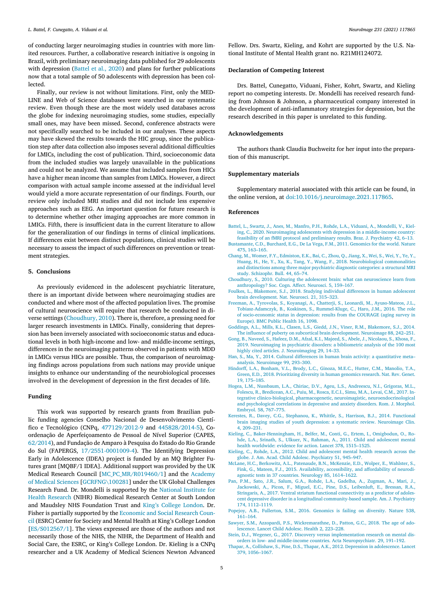<span id="page-5-0"></span>of conducting larger neuroimaging studies in countries with more limited resources. Further, a collaborative research initiative is ongoing in Brazil, with preliminary neuroimaging data published for 29 adolescents with depression (Battel et al., 2020) and plans for further publications now that a total sample of 50 adolescents with depression has been collected.

Finally, our review is not without limitations. First, only the MED-LINE and Web of Science databases were searched in our systematic review. Even though these are the most widely used databases across the globe for indexing neuroimaging studies, some studies, especially small ones, may have been missed. Second, conference abstracts were not specifically searched to be included in our analyses. These aspects may have skewed the results towards the HIC group, since the publication step after data collection also imposes several additional difficulties for LMICs, including the cost of publication. Third, socioeconomic data from the included studies was largely unavailable in the publications and could not be analyzed. We assume that included samples from HICs have a higher mean income than samples from LMICs. However, a direct comparison with actual sample income assessed at the individual level would yield a more accurate representation of our findings. Fourth, our review only included MRI studies and did not include less expensive approaches such as EEG. An important question for future research is to determine whether other imaging approaches are more common in LMICs. Fifth, there is insufficient data in the current literature to allow for the generalization of our findings in terms of clinical implications. If differences exist between distinct populations, clinical studies will be necessary to assess the impact of such differences on prevention or treatment strategies.

#### **5. Conclusions**

As previously evidenced in the adolescent psychiatric literature, there is an important divide between where neuroimaging studies are conducted and where most of the affected population lives. The promise of cultural neuroscience will require that research be conducted in diverse settings (Choudhury, 2010). There is, therefore, a pressing need for larger research investments in LMICs. Finally, considering that depression has been inversely associated with socioeconomic status and educational levels in both high-income and low- and middle-income settings, differences in the neuroimaging patterns observed in patients with MDD in LMICs versus HICs are possible. Thus, the comparison of neuroimaging findings across populations from such nations may provide unique insights to enhance our understanding of the neurobiological processes involved in the development of depression in the first decades of life.

#### **Funding**

This work was supported by research grants from Brazilian public funding agencies Conselho Nacional de Desenvolvimento Científico e Tecnológico (CNPq, 477129/2012-9 and 445828/2014-5), Coordenação de Aperfeiçoamento de Pessoal de Nível Superior (CAPES, 62/2014), and Fundação de Amparo à Pesquisa do Estado do Rio Grande do Sul (FAPERGS, 17/2551-0001009-4). The Identifying Depression Early in Adolescence (IDEA) project is funded by an MQ Brighter Futures grant [MQBF/1 IDEA]. Additional support was provided by the UK Medical Research Council [\[MC\\_PC\\_MR/R019460/1\]](http://dx.doi.org/10.13039/501100000691) and the Academy of Medical Sciences [GCRFNG\100281] under the UK Global Challenges Research Fund. Dr. Mondelli is supported by the National Institute for Health Research (NIHR) [Biomedical](http://dx.doi.org/10.13039/501100000272) Research Center at South London and Maudsley NHS Foundation Trust and King's College [London.](http://dx.doi.org/10.13039/100009360) Dr. Fisher is partially [supported](http://dx.doi.org/10.13039/501100000269) by the Economic and Social Research Council (ESRC) Center for Society and Mental Health at King's College London [ES/S012567/1]. The views expressed are those of the authors and not necessarily those of the NHS, the NIHR, the Department of Health and Social Care, the ESRC, or King's College London. Dr. Kieling is a CNPq researcher and a UK Academy of Medical Sciences Newton Advanced Fellow. Drs. Swartz, Kieling, and Kohrt are supported by the U.S. National Institute of Mental Health grant no. R21MH124072.

#### **Declaration of Competing Interest**

Drs. Battel, Cunegatto, Viduani, Fisher, Kohrt, Swartz, and Kieling report no competing interests. Dr. Mondelli has received research funding from Johnson & Johnson, a pharmaceutical company interested in the development of anti-inflammatory strategies for depression, but the research described in this paper is unrelated to this funding.

#### **Acknowledgements**

The authors thank Claudia Buchweitz for her input into the preparation of this manuscript.

#### **Supplementary materials**

Supplementary material associated with this article can be found, in the online version, at [doi:10.1016/j.neuroimage.2021.117865.](https://doi.org/10.1016/j.neuroimage.2021.117865)

#### **References**

- [Battel,](http://refhub.elsevier.com/S1053-8119(21)00142-7/sbref0001) L., [Swartz,](http://refhub.elsevier.com/S1053-8119(21)00142-7/sbref0001) J., [Anes,](http://refhub.elsevier.com/S1053-8119(21)00142-7/sbref0001) M., [Manfro,](http://refhub.elsevier.com/S1053-8119(21)00142-7/sbref0001) P.H., [Rohde,](http://refhub.elsevier.com/S1053-8119(21)00142-7/sbref0001) L.A., [Viduani,](http://refhub.elsevier.com/S1053-8119(21)00142-7/sbref0001) A., [Mondelli,](http://refhub.elsevier.com/S1053-8119(21)00142-7/sbref0001) V., Kieling, C., 2020. Neuroimaging adolescents with depression in a [middle-income](http://refhub.elsevier.com/S1053-8119(21)00142-7/sbref0001) country: feasibility of an fMRI protocol and preliminary results. Braz. J. Psychiatry 42, 6–13.
- [Bustamante,](http://refhub.elsevier.com/S1053-8119(21)00142-7/sbref0002) C.D., [Burchard,](http://refhub.elsevier.com/S1053-8119(21)00142-7/sbref0002) E.G., De La [Vega,](http://refhub.elsevier.com/S1053-8119(21)00142-7/sbref0002) F.M., 2011. Genomics for the world. Nature 475, 163–165. [Chang,](http://refhub.elsevier.com/S1053-8119(21)00142-7/sbref0003) M., [Womer,](http://refhub.elsevier.com/S1053-8119(21)00142-7/sbref0003) F.Y., [Edmiston,](http://refhub.elsevier.com/S1053-8119(21)00142-7/sbref0003) E.K., [Bai,](http://refhub.elsevier.com/S1053-8119(21)00142-7/sbref0003) C., [Zhou,](http://refhub.elsevier.com/S1053-8119(21)00142-7/sbref0003) Q., [Jiang,](http://refhub.elsevier.com/S1053-8119(21)00142-7/sbref0003) X., [Wei,](http://refhub.elsevier.com/S1053-8119(21)00142-7/sbref0003) S., [Wei,](http://refhub.elsevier.com/S1053-8119(21)00142-7/sbref0003) Y., [Ye,](http://refhub.elsevier.com/S1053-8119(21)00142-7/sbref0003) Y.,
- [Huang,](http://refhub.elsevier.com/S1053-8119(21)00142-7/sbref0003) H., [He,](http://refhub.elsevier.com/S1053-8119(21)00142-7/sbref0003) Y., [Xu,](http://refhub.elsevier.com/S1053-8119(21)00142-7/sbref0003) K., [Tang,](http://refhub.elsevier.com/S1053-8119(21)00142-7/sbref0003) Y., [Wang,](http://refhub.elsevier.com/S1053-8119(21)00142-7/sbref0003) F., 2018. [Neurobiological](http://refhub.elsevier.com/S1053-8119(21)00142-7/sbref0003) commonalities and distinctions among three major psychiatric diagnostic categories: a structural MRI study. Schizophr. Bull. 44, 65–74.
- [Choudhury,](http://refhub.elsevier.com/S1053-8119(21)00142-7/sbref0004) S., 2010. Culturing the adolescent brain: what can neuroscience learn from [anthropology?](http://refhub.elsevier.com/S1053-8119(21)00142-7/sbref0004) Soc. Cogn. Affect. Neurosci. 5, 159–167.
- [Foulkes,](http://refhub.elsevier.com/S1053-8119(21)00142-7/sbref0006) L., [Blakemore,](http://refhub.elsevier.com/S1053-8119(21)00142-7/sbref0006) S.J., 2018. Studying individual differences in human adolescent brain [development.](http://refhub.elsevier.com/S1053-8119(21)00142-7/sbref0006) Nat. Neurosci. 21, 315–323.
- [Freeman,](http://refhub.elsevier.com/S1053-8119(21)00142-7/sbref0007) A., [Tyrovolas,](http://refhub.elsevier.com/S1053-8119(21)00142-7/sbref0007) S., [Koyanagi,](http://refhub.elsevier.com/S1053-8119(21)00142-7/sbref0007) A., [Chatterji,](http://refhub.elsevier.com/S1053-8119(21)00142-7/sbref0007) S., [Leonardi,](http://refhub.elsevier.com/S1053-8119(21)00142-7/sbref0007) M., [Ayuso-Mateos,](http://refhub.elsevier.com/S1053-8119(21)00142-7/sbref0007) J.L., [Tobiasz-Adamczyk,](http://refhub.elsevier.com/S1053-8119(21)00142-7/sbref0007) B., [Koskinen,](http://refhub.elsevier.com/S1053-8119(21)00142-7/sbref0007) S., [Rummel-Kluge,](http://refhub.elsevier.com/S1053-8119(21)00142-7/sbref0007) C., [Haro,](http://refhub.elsevier.com/S1053-8119(21)00142-7/sbref0007) J.M., 2016. The role of socio-economic status in depression: results from the COURAGE (aging survey in Europe). BMC Public Health 16, 1098.
- [Goddings,](http://refhub.elsevier.com/S1053-8119(21)00142-7/sbref0008) A.L., [Mills,](http://refhub.elsevier.com/S1053-8119(21)00142-7/sbref0008) K.L., [Clasen,](http://refhub.elsevier.com/S1053-8119(21)00142-7/sbref0008) L.S., [Giedd,](http://refhub.elsevier.com/S1053-8119(21)00142-7/sbref0008) J.N., [Viner,](http://refhub.elsevier.com/S1053-8119(21)00142-7/sbref0008) R.M., [Blakemore,](http://refhub.elsevier.com/S1053-8119(21)00142-7/sbref0008) S.J., 2014. The influence of puberty on subcortical brain [development.](http://refhub.elsevier.com/S1053-8119(21)00142-7/sbref0008) Neuroimage 88, 242–251.
- [Gong,](http://refhub.elsevier.com/S1053-8119(21)00142-7/sbref0009) B., [Naveed,](http://refhub.elsevier.com/S1053-8119(21)00142-7/sbref0009) S., [Hafeez,](http://refhub.elsevier.com/S1053-8119(21)00142-7/sbref0009) D.M., [Afzal,](http://refhub.elsevier.com/S1053-8119(21)00142-7/sbref0009) K.I., [Majeed,](http://refhub.elsevier.com/S1053-8119(21)00142-7/sbref0009) S., [Abele,](http://refhub.elsevier.com/S1053-8119(21)00142-7/sbref0009) J., [Nicolaou,](http://refhub.elsevier.com/S1053-8119(21)00142-7/sbref0009) S., [Khosa,](http://refhub.elsevier.com/S1053-8119(21)00142-7/sbref0009) F., 2019. [Neuroimaging](http://refhub.elsevier.com/S1053-8119(21)00142-7/sbref0009) in psychiatric disorders: a bibliometric analysis of the 100 most highly cited articles. J. Neuroimaging 29, 14–33.
- [Han,](http://refhub.elsevier.com/S1053-8119(21)00142-7/sbref0010) S., [Ma,](http://refhub.elsevier.com/S1053-8119(21)00142-7/sbref0010) Y., 2014. Cultural differences in human brain activity: a quantitative meta– analysis. [Neuroimage](http://refhub.elsevier.com/S1053-8119(21)00142-7/sbref0010) 99, 293–300.
- [Hindorff,](http://refhub.elsevier.com/S1053-8119(21)00142-7/sbref0011) L.A., [Bonham,](http://refhub.elsevier.com/S1053-8119(21)00142-7/sbref0011) V.L., [Brody,](http://refhub.elsevier.com/S1053-8119(21)00142-7/sbref0011) L.C., [Ginoza,](http://refhub.elsevier.com/S1053-8119(21)00142-7/sbref0011) M.E.C., [Hutter,](http://refhub.elsevier.com/S1053-8119(21)00142-7/sbref0011) C.M., [Manolio,](http://refhub.elsevier.com/S1053-8119(21)00142-7/sbref0011) T.A., [Green,](http://refhub.elsevier.com/S1053-8119(21)00142-7/sbref0011) E.D., 2018. [Prioritizing](http://refhub.elsevier.com/S1053-8119(21)00142-7/sbref0011) diversity in human genomics research. Nat. Rev. Genet. 19, 175–185.
- [Hogea,](http://refhub.elsevier.com/S1053-8119(21)00142-7/sbref0012) L.M., [Nussbaum,](http://refhub.elsevier.com/S1053-8119(21)00142-7/sbref0012) L.A., [Chiriac,](http://refhub.elsevier.com/S1053-8119(21)00142-7/sbref0012) D.V., [Ageu,](http://refhub.elsevier.com/S1053-8119(21)00142-7/sbref0012) L.S., [Andreescu,](http://refhub.elsevier.com/S1053-8119(21)00142-7/sbref0012) N.I., [Grigoras,](http://refhub.elsevier.com/S1053-8119(21)00142-7/sbref0012) M.L., [Folescu,](http://refhub.elsevier.com/S1053-8119(21)00142-7/sbref0012) R., [Bredicean,](http://refhub.elsevier.com/S1053-8119(21)00142-7/sbref0012) A.C., [Puiu,](http://refhub.elsevier.com/S1053-8119(21)00142-7/sbref0012) M., [Rosca,](http://refhub.elsevier.com/S1053-8119(21)00142-7/sbref0012) E.C.I., [Simu,](http://refhub.elsevier.com/S1053-8119(21)00142-7/sbref0012) M.A., [Levai,](http://refhub.elsevier.com/S1053-8119(21)00142-7/sbref0012) C.M., 2017. Integrative clinico-biological, pharmacogenetic, neuroimagistic, [neuroendocrinological](http://refhub.elsevier.com/S1053-8119(21)00142-7/sbref0012) and psychological correlations in depressive and anxiety disorders. Rom. J. Morphol. Embryol. 58, 767–775.
- [Kerestes,](http://refhub.elsevier.com/S1053-8119(21)00142-7/sbref0013) R., [Davey,](http://refhub.elsevier.com/S1053-8119(21)00142-7/sbref0013) C.G., [Stephanou,](http://refhub.elsevier.com/S1053-8119(21)00142-7/sbref0013) K., [Whittle,](http://refhub.elsevier.com/S1053-8119(21)00142-7/sbref0013) S., [Harrison,](http://refhub.elsevier.com/S1053-8119(21)00142-7/sbref0013) B.J., 2014. Functional brain imaging studies of youth depression: a systematic review. [Neuroimage](http://refhub.elsevier.com/S1053-8119(21)00142-7/sbref0013) Clin. 4, 209–231.
- [Kieling,](http://refhub.elsevier.com/S1053-8119(21)00142-7/sbref0014) C., [Baker-Henningham,](http://refhub.elsevier.com/S1053-8119(21)00142-7/sbref0014) H., [Belfer,](http://refhub.elsevier.com/S1053-8119(21)00142-7/sbref0014) M., [Conti,](http://refhub.elsevier.com/S1053-8119(21)00142-7/sbref0014) G., [Ertem,](http://refhub.elsevier.com/S1053-8119(21)00142-7/sbref0014) I., [Omigbodun,](http://refhub.elsevier.com/S1053-8119(21)00142-7/sbref0014) O., Rohde, L.A., [Srinath,](http://refhub.elsevier.com/S1053-8119(21)00142-7/sbref0014) S., [Ulkuer,](http://refhub.elsevier.com/S1053-8119(21)00142-7/sbref0014) N., [Rahman,](http://refhub.elsevier.com/S1053-8119(21)00142-7/sbref0014) A., 2011. Child and adolescent mental health worldwide: evidence for action. Lancet 378, [1515–1525.](http://refhub.elsevier.com/S1053-8119(21)00142-7/sbref0014)
- [Kieling,](http://refhub.elsevier.com/S1053-8119(21)00142-7/sbref0015) C., [Rohde,](http://refhub.elsevier.com/S1053-8119(21)00142-7/sbref0015) L.A., 2012. Child and [adolescent](http://refhub.elsevier.com/S1053-8119(21)00142-7/sbref0015) mental health research across the globe. J. Am. Acad. Child Adolesc. Psychiatry 51, 945–947.
- [McLane,](http://refhub.elsevier.com/S1053-8119(21)00142-7/sbref0016) H.C., [Berkowitz,](http://refhub.elsevier.com/S1053-8119(21)00142-7/sbref0016) A.L., [Patenaude,](http://refhub.elsevier.com/S1053-8119(21)00142-7/sbref0016) B.N., [McKenzie,](http://refhub.elsevier.com/S1053-8119(21)00142-7/sbref0016) E.D., [Wolper,](http://refhub.elsevier.com/S1053-8119(21)00142-7/sbref0016) E., [Wahlster,](http://refhub.elsevier.com/S1053-8119(21)00142-7/sbref0016) S., [Fink,](http://refhub.elsevier.com/S1053-8119(21)00142-7/sbref0016) G., [Mateen,](http://refhub.elsevier.com/S1053-8119(21)00142-7/sbref0016) F.J., 2015. Availability, [accessibility,](http://refhub.elsevier.com/S1053-8119(21)00142-7/sbref0016) and affordability of neurodiagnostic tests in 37 countries. Neurology 85, 1614–1622.
- Pan, [P.M.,](http://refhub.elsevier.com/S1053-8119(21)00142-7/sbref0017) [Sato,](http://refhub.elsevier.com/S1053-8119(21)00142-7/sbref0017) J.R., [Salum,](http://refhub.elsevier.com/S1053-8119(21)00142-7/sbref0017) G.A., [Rohde,](http://refhub.elsevier.com/S1053-8119(21)00142-7/sbref0017) L.A., [Gadelha,](http://refhub.elsevier.com/S1053-8119(21)00142-7/sbref0017) A., [Zugman,](http://refhub.elsevier.com/S1053-8119(21)00142-7/sbref0017) A., [Mari,](http://refhub.elsevier.com/S1053-8119(21)00142-7/sbref0017) J., [Jackowski,](http://refhub.elsevier.com/S1053-8119(21)00142-7/sbref0017) A., [Picon,](http://refhub.elsevier.com/S1053-8119(21)00142-7/sbref0017) F., [Miguel,](http://refhub.elsevier.com/S1053-8119(21)00142-7/sbref0017) E.C., [Pine,](http://refhub.elsevier.com/S1053-8119(21)00142-7/sbref0017) D.S., [Leibenluft,](http://refhub.elsevier.com/S1053-8119(21)00142-7/sbref0017) E., [Bressan,](http://refhub.elsevier.com/S1053-8119(21)00142-7/sbref0017) R.A., [Stringaris,](http://refhub.elsevier.com/S1053-8119(21)00142-7/sbref0017) A., 2017. Ventral striatum functional connectivity as a predictor of adolescent depressive disorder in a longitudinal [community-based](http://refhub.elsevier.com/S1053-8119(21)00142-7/sbref0017) sample. Am. J. Psychiatry 174, 1112–1119.
- [Popejoy,](http://refhub.elsevier.com/S1053-8119(21)00142-7/sbref0018) A.B., [Fullerton,](http://refhub.elsevier.com/S1053-8119(21)00142-7/sbref0018) S.M., 2016. Genomics is failing on diversity. Nature 538, 161–164.
- [Sawyer,](http://refhub.elsevier.com/S1053-8119(21)00142-7/sbref0019) S.M., [Azzopardi,](http://refhub.elsevier.com/S1053-8119(21)00142-7/sbref0019) P.S., [Wickremarathne,](http://refhub.elsevier.com/S1053-8119(21)00142-7/sbref0019) D., [Patton,](http://refhub.elsevier.com/S1053-8119(21)00142-7/sbref0019) G.C., 2018. The age of adolescence. Lancet Child Adolesc. Health 2, 223–228.
- [Stein,](http://refhub.elsevier.com/S1053-8119(21)00142-7/sbref0020) D.J., [Wegener,](http://refhub.elsevier.com/S1053-8119(21)00142-7/sbref0020) G., 2017. Discovery versus implementation research on mental disorders in low- and middle-income countries. Acta [Neuropsychiatr.](http://refhub.elsevier.com/S1053-8119(21)00142-7/sbref0020) 29, 191–192.
- [Thapar,](http://refhub.elsevier.com/S1053-8119(21)00142-7/sbref0021) A., [Collishaw,](http://refhub.elsevier.com/S1053-8119(21)00142-7/sbref0021) S., [Pine,](http://refhub.elsevier.com/S1053-8119(21)00142-7/sbref0021) D.S., [Thapar,](http://refhub.elsevier.com/S1053-8119(21)00142-7/sbref0021) A.K., 2012. Depression in [adolescence.](http://refhub.elsevier.com/S1053-8119(21)00142-7/sbref0021) Lancet 379, 1056–1067.